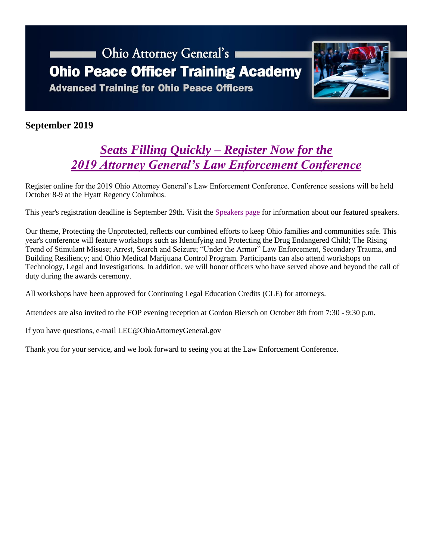# Ohio Attorney General's **Ohio Peace Officer Training Academy**

**Advanced Training for Ohio Peace Officers** 



### **September 2019**

### *[Seats Filling Quickly –](https://www.ohioattorneygeneral.gov/leconference) Register Now for the [2019 Attorney General's Law Enforcement Conference](https://www.ohioattorneygeneral.gov/leconference)*

[Register online](http://registrations.ohioattorneygeneral.gov/eventmanager/onlineregistration.asp?eventcode=11H) for the 2019 Ohio Attorney General's Law Enforcement Conference. Conference sessions will be held October 8-9 at the Hyatt Regency Columbus.

This year's registration deadline is September 29th. Visit the [Speakers page](https://www.ohioattorneygeneral.gov/Law-Enforcement/Ohio-Peace-Officer-Training-Academy/Ohio-Attorney-General-s-Law-Enforcement-Conference/2019-Law-Enforcement-Conference-Speakers) for information about our featured speakers.

Our theme, Protecting the Unprotected, reflects our combined efforts to keep Ohio families and communities safe. This year's conference will feature workshops such as Identifying and Protecting the Drug Endangered Child; The Rising Trend of Stimulant Misuse; Arrest, Search and Seizure; "Under the Armor" Law Enforcement, Secondary Trauma, and Building Resiliency; and Ohio Medical Marijuana Control Program. Participants can also attend workshops on Technology, Legal and Investigations. In addition, we will honor officers who have served above and beyond the call of duty during the awards ceremony.

All workshops have been approved for Continuing Legal Education Credits (CLE) for attorneys.

Attendees are also invited to the FOP evening reception at Gordon Biersch on October 8th from 7:30 - 9:30 p.m.

If you have questions, e-mail [LEC@OhioAttorneyGeneral.gov](mailto:LEC@OhioAttorneyGeneral.gov)

Thank you for your service, and we look forward to seeing you at the Law Enforcement Conference.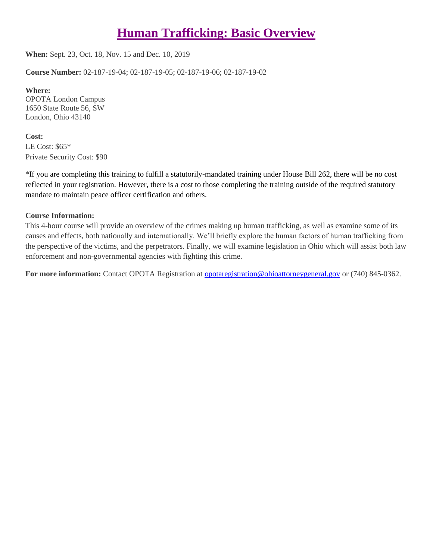## **[Human Trafficking: Basic Overview](https://www.ohioattorneygeneral.gov/Law-Enforcement/Ohio-Peace-Officer-Training-Academy/Course-Catalog/Course-Categories/Human-Relations-Courses#OPOTA34)**

**When:** Sept. 23, Oct. 18, Nov. 15 and Dec. 10, 2019

**Course Number:** 02-187-19-04; 02-187-19-05; 02-187-19-06; 02-187-19-02

**Where:** OPOTA London Campus 1650 State Route 56, SW London, Ohio 43140

**Cost:** LE Cost: \$65\* Private Security Cost: \$90

\*If you are completing this training to fulfill a statutorily-mandated training under House Bill 262, there will be no cost reflected in your registration. However, there is a cost to those completing the training outside of the required statutory mandate to maintain peace officer certification and others.

#### **Course Information:**

This 4-hour course will provide an overview of the crimes making up human trafficking, as well as examine some of its causes and effects, both nationally and internationally. We'll briefly explore the human factors of human trafficking from the perspective of the victims, and the perpetrators. Finally, we will examine legislation in Ohio which will assist both law enforcement and non-governmental agencies with fighting this crime.

**For more information:** Contact OPOTA Registration at [opotaregistration@ohioattorneygeneral.gov](mailto:opotaregistration@ohioattorneygeneral.gov) or (740) 845-0362.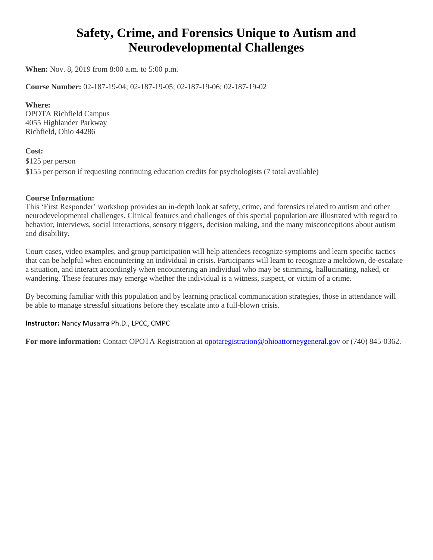### **Safety, Crime, and Forensics Unique to Autism and Neurodevelopmental Challenges**

**When:** Nov. 8, 2019 from 8:00 a.m. to 5:00 p.m.

**Course Number:** 02-187-19-04; 02-187-19-05; 02-187-19-06; 02-187-19-02

#### **Where:**

OPOTA Richfield Campus 4055 Highlander Parkway Richfield, Ohio 44286

#### **Cost:**

\$125 per person \$155 per person if requesting continuing education credits for psychologists (7 total available)

#### **Course Information:**

This 'First Responder' workshop provides an in-depth look at safety, crime, and forensics related to autism and other neurodevelopmental challenges. Clinical features and challenges of this special population are illustrated with regard to behavior, interviews, social interactions, sensory triggers, decision making, and the many misconceptions about autism and disability.

Court cases, video examples, and group participation will help attendees recognize symptoms and learn specific tactics that can be helpful when encountering an individual in crisis. Participants will learn to recognize a meltdown, de-escalate a situation, and interact accordingly when encountering an individual who may be stimming, hallucinating, naked, or wandering. These features may emerge whether the individual is a witness, suspect, or victim of a crime.

By becoming familiar with this population and by learning practical communication strategies, those in attendance will be able to manage stressful situations before they escalate into a full-blown crisis.

#### **Instructor:** Nancy Musarra Ph.D., LPCC, CMPC

**For more information:** Contact OPOTA Registration at [opotaregistration@ohioattorneygeneral.gov](mailto:opotaregistration@ohioattorneygeneral.gov) or (740) 845-0362.